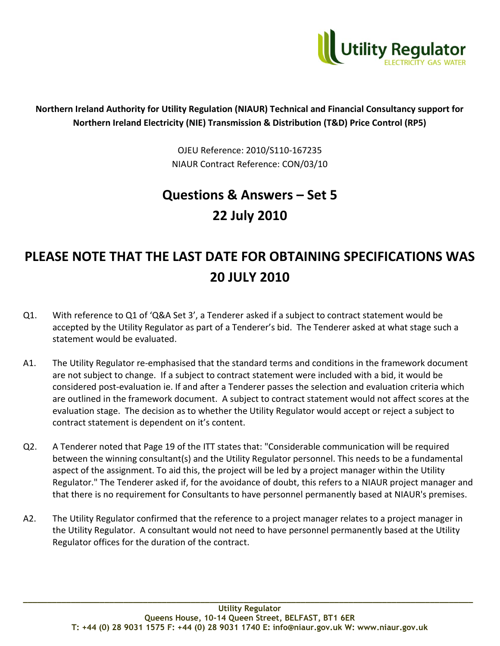

## **Northern Ireland Authority for Utility Regulation (NIAUR) Technical and Financial Consultancy support for Northern Ireland Electricity (NIE) Transmission & Distribution (T&D) Price Control (RP5)**

OJEU Reference: 2010/S110-167235 NIAUR Contract Reference: CON/03/10

## **Questions & Answers – Set 5 22 July 2010**

## **PLEASE NOTE THAT THE LAST DATE FOR OBTAINING SPECIFICATIONS WAS 20 JULY 2010**

- Q1. With reference to Q1 of 'Q&A Set 3', a Tenderer asked if a subject to contract statement would be accepted by the Utility Regulator as part of a Tenderer's bid. The Tenderer asked at what stage such a statement would be evaluated.
- A1. The Utility Regulator re-emphasised that the standard terms and conditions in the framework document are not subject to change. If a subject to contract statement were included with a bid, it would be considered post-evaluation ie. If and after a Tenderer passes the selection and evaluation criteria which are outlined in the framework document. A subject to contract statement would not affect scores at the evaluation stage. The decision as to whether the Utility Regulator would accept or reject a subject to contract statement is dependent on it's content.
- Q2. A Tenderer noted that Page 19 of the ITT states that: "Considerable communication will be required between the winning consultant(s) and the Utility Regulator personnel. This needs to be a fundamental aspect of the assignment. To aid this, the project will be led by a project manager within the Utility Regulator." The Tenderer asked if, for the avoidance of doubt, this refers to a NIAUR project manager and that there is no requirement for Consultants to have personnel permanently based at NIAUR's premises.
- A2. The Utility Regulator confirmed that the reference to a project manager relates to a project manager in the Utility Regulator. A consultant would not need to have personnel permanently based at the Utility Regulator offices for the duration of the contract.

**\_\_\_\_\_\_\_\_\_\_\_\_\_\_\_\_\_\_\_\_\_\_\_\_\_\_\_\_\_\_\_\_\_\_\_\_\_\_\_\_\_\_\_\_\_\_\_\_\_\_\_\_\_\_\_\_\_\_\_\_\_\_\_\_\_\_\_\_\_\_\_\_\_\_\_\_\_\_\_\_\_\_\_\_\_\_\_\_\_\_\_\_\_\_**